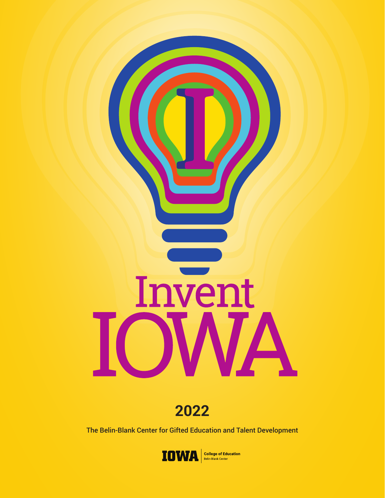

**2022**

The Belin-Blank Center for Gifted Education and Talent Development

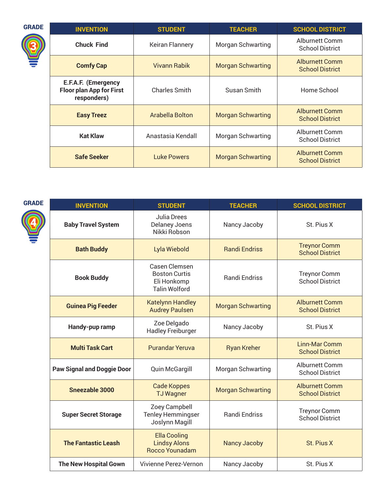| <b>GRADE</b> | <b>INVENTION</b>                                                      | <b>STUDENT</b>       | <b>TEACHER</b>           | <b>SCHOOL DISTRICT</b>                          |
|--------------|-----------------------------------------------------------------------|----------------------|--------------------------|-------------------------------------------------|
|              | <b>Chuck Find</b>                                                     | Keiran Flannery      | <b>Morgan Schwarting</b> | Alburnett Comm<br><b>School District</b>        |
|              | <b>Comfy Cap</b>                                                      | <b>Vivann Rabik</b>  | <b>Morgan Schwarting</b> | <b>Alburnett Comm</b><br><b>School District</b> |
|              | E.F.A.F. (Emergency<br><b>Floor plan App for First</b><br>responders) | <b>Charles Smith</b> | Susan Smith              | Home School                                     |
|              | <b>Easy Treez</b>                                                     | Arabella Bolton      | <b>Morgan Schwarting</b> | <b>Alburnett Comm</b><br><b>School District</b> |
|              | <b>Kat Klaw</b>                                                       | Anastasia Kendall    | <b>Morgan Schwarting</b> | Alburnett Comm<br><b>School District</b>        |
|              | <b>Safe Seeker</b>                                                    | Luke Powers          | <b>Morgan Schwarting</b> | <b>Alburnett Comm</b><br><b>School District</b> |

| M.<br>٠ |  |
|---------|--|

0

| <b>INVENTION</b>                  | <b>STUDENT</b>                                                               | <b>TEACHER</b>           | <b>SCHOOL DISTRICT</b>                          |
|-----------------------------------|------------------------------------------------------------------------------|--------------------------|-------------------------------------------------|
| <b>Baby Travel System</b>         | <b>Julia Drees</b><br><b>Delaney Joens</b><br>Nikki Robson                   | Nancy Jacoby             | St. Pius X                                      |
| <b>Bath Buddy</b>                 | Lyla Wiebold                                                                 | <b>Randi Endriss</b>     | <b>Treynor Comm</b><br><b>School District</b>   |
| <b>Book Buddy</b>                 | Casen Clemsen<br><b>Boston Curtis</b><br>Eli Honkomp<br><b>Talin Wolford</b> | <b>Randi Endriss</b>     | <b>Treynor Comm</b><br><b>School District</b>   |
| <b>Guinea Pig Feeder</b>          | <b>Katelynn Handley</b><br><b>Audrey Paulsen</b>                             | <b>Morgan Schwarting</b> | <b>Alburnett Comm</b><br><b>School District</b> |
| Handy-pup ramp                    | Zoe Delgado<br><b>Hadley Freiburger</b>                                      | Nancy Jacoby             | St. Pius X                                      |
| <b>Multi Task Cart</b>            | <b>Purandar Yeruva</b>                                                       | <b>Ryan Kreher</b>       | Linn-Mar Comm<br><b>School District</b>         |
| <b>Paw Signal and Doggie Door</b> | <b>Quin McGargill</b>                                                        | <b>Morgan Schwarting</b> | Alburnett Comm<br><b>School District</b>        |
| <b>Sneezable 3000</b>             | <b>Cade Koppes</b><br><b>TJ Wagner</b>                                       | <b>Morgan Schwarting</b> | <b>Alburnett Comm</b><br><b>School District</b> |
| <b>Super Secret Storage</b>       | Zoey Campbell<br><b>Tenley Hemmingser</b><br>Joslynn Magill                  | <b>Randi Endriss</b>     | <b>Treynor Comm</b><br><b>School District</b>   |
| <b>The Fantastic Leash</b>        | <b>Ella Cooling</b><br><b>Lindsy Alons</b><br>Rocco Younadam                 | <b>Nancy Jacoby</b>      | St. Pius X                                      |

**The New Hospital Gown** | Vivienne Perez-Vernon | Nancy Jacoby | St. Pius X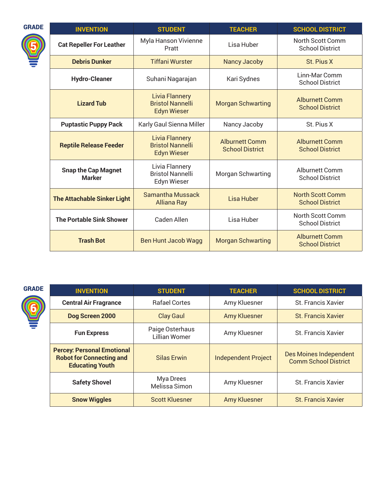| <b>GRADE</b> | <b>INVENTION</b>                            | <b>STUDENT</b>                                                         | <b>TEACHER</b>                                  | <b>SCHOOL DISTRICT</b>                            |
|--------------|---------------------------------------------|------------------------------------------------------------------------|-------------------------------------------------|---------------------------------------------------|
|              | <b>Cat Repeller For Leather</b>             | Myla Hanson Vivienne<br>Pratt                                          | Lisa Huber                                      | North Scott Comm<br><b>School District</b>        |
|              | <b>Debris Dunker</b>                        | <b>Tiffani Wurster</b>                                                 | <b>Nancy Jacoby</b>                             | St. Pius X                                        |
|              | <b>Hydro-Cleaner</b>                        | Suhani Nagarajan                                                       | Kari Sydnes                                     | Linn-Mar Comm<br><b>School District</b>           |
|              | <b>Lizard Tub</b>                           | <b>Livia Flannery</b><br><b>Bristol Nannelli</b><br><b>Edyn Wieser</b> | <b>Morgan Schwarting</b>                        | <b>Alburnett Comm</b><br><b>School District</b>   |
|              | <b>Puptastic Puppy Pack</b>                 | Karly Gaul Sienna Miller                                               | Nancy Jacoby                                    | St. Pius X                                        |
|              | <b>Reptile Release Feeder</b>               | <b>Livia Flannery</b><br><b>Bristol Nannelli</b><br><b>Edyn Wieser</b> | <b>Alburnett Comm</b><br><b>School District</b> | <b>Alburnett Comm</b><br><b>School District</b>   |
|              | <b>Snap the Cap Magnet</b><br><b>Marker</b> | Livia Flannery<br><b>Bristol Nannelli</b><br><b>Edyn Wieser</b>        | <b>Morgan Schwarting</b>                        | <b>Alburnett Comm</b><br><b>School District</b>   |
|              | <b>The Attachable Sinker Light</b>          | <b>Samantha Mussack</b><br><b>Alliana Ray</b>                          | Lisa Huber                                      | <b>North Scott Comm</b><br><b>School District</b> |
|              | <b>The Portable Sink Shower</b>             | Caden Allen                                                            | Lisa Huber                                      | North Scott Comm<br><b>School District</b>        |
|              | <b>Trash Bot</b>                            | <b>Ben Hunt Jacob Wagg</b>                                             | <b>Morgan Schwarting</b>                        | <b>Alburnett Comm</b><br><b>School District</b>   |

GRADE



| <b>INVENTION</b>                                                                               | <b>STUDENT</b>                          | <b>TEACHER</b>             | <b>SCHOOL DISTRICT</b>                                       |
|------------------------------------------------------------------------------------------------|-----------------------------------------|----------------------------|--------------------------------------------------------------|
| <b>Central Air Fragrance</b>                                                                   | <b>Rafael Cortes</b>                    | Amy Kluesner               | <b>St. Francis Xavier</b>                                    |
| Dog Screen 2000                                                                                | <b>Clay Gaul</b>                        | <b>Amy Kluesner</b>        | <b>St. Francis Xavier</b>                                    |
| <b>Fun Express</b>                                                                             | Paige Osterhaus<br><b>Lillian Womer</b> | Amy Kluesner               | <b>St. Francis Xavier</b>                                    |
| <b>Percey: Personal Emotional</b><br><b>Robot for Connecting and</b><br><b>Educating Youth</b> | <b>Silas Erwin</b>                      | <b>Independent Project</b> | <b>Des Moines Independent</b><br><b>Comm School District</b> |
| <b>Safety Shovel</b>                                                                           | Mya Drees<br>Melissa Simon              | Amy Kluesner               | <b>St. Francis Xavier</b>                                    |
| <b>Snow Wiggles</b>                                                                            | <b>Scott Kluesner</b>                   | <b>Amy Kluesner</b>        | <b>St. Francis Xavier</b>                                    |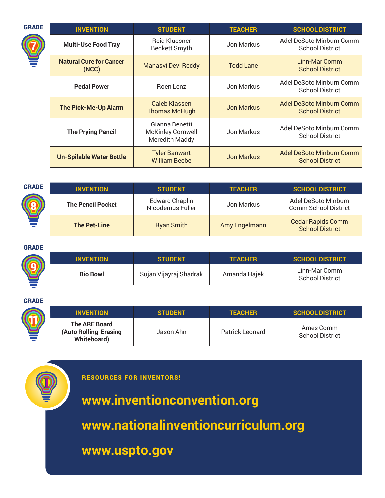| <b>GRADE</b> | <b>INVENTION</b>                        | <b>STUDENT</b>                                               | <b>TEACHER</b>    | <b>SCHOOL DISTRICT</b>                                    |
|--------------|-----------------------------------------|--------------------------------------------------------------|-------------------|-----------------------------------------------------------|
|              | <b>Multi-Use Food Tray</b>              | <b>Reid Kluesner</b><br><b>Beckett Smyth</b>                 | Jon Markus        | Adel DeSoto Minburn Comm<br><b>School District</b>        |
|              | <b>Natural Cure for Cancer</b><br>(NCC) | <b>Manasvi Devi Reddy</b>                                    | <b>Todd Lane</b>  | Linn-Mar Comm<br><b>School District</b>                   |
|              | <b>Pedal Power</b>                      | Roen Lenz                                                    | Jon Markus        | Adel DeSoto Minburn Comm<br><b>School District</b>        |
|              | <b>The Pick-Me-Up Alarm</b>             | Caleb Klassen<br><b>Thomas McHugh</b>                        | <b>Jon Markus</b> | Adel DeSoto Minburn Comm<br><b>School District</b>        |
|              | <b>The Prying Pencil</b>                | Gianna Benetti<br><b>McKinley Cornwell</b><br>Meredith Maddy | Jon Markus        | Adel DeSoto Minburn Comm<br><b>School District</b>        |
|              | <b>Un-Spilable Water Bottle</b>         | <b>Tyler Banwart</b><br><b>William Beebe</b>                 | <b>Jon Markus</b> | <b>Adel DeSoto Minburn Comm</b><br><b>School District</b> |

| <b>GRADE</b> | <b>INVENTION</b>         | <b>STUDENT</b>                            | <b>TEACHER</b> | <b>SCHOOL DISTRICT</b>                             |
|--------------|--------------------------|-------------------------------------------|----------------|----------------------------------------------------|
|              | <b>The Pencil Pocket</b> | <b>Edward Chaplin</b><br>Nicodemus Fuller | Jon Markus     | Adel DeSoto Minburn<br><b>Comm School District</b> |
|              | <b>The Pet-Line</b>      | <b>Ryan Smith</b>                         | Amy Engelmann  | <b>Cedar Rapids Comm</b><br><b>School District</b> |

# GRADE

| <b>INVENTION</b> | <b>STUDENT</b>         | <b>TEACHER</b> | <b>SCHOOL DISTRICT</b>                  |
|------------------|------------------------|----------------|-----------------------------------------|
| <b>Bio Bowl</b>  | Sujan Vijayraj Shadrak | Amanda Hajek   | Linn-Mar Comm<br><b>School District</b> |

## GRADE

| <b>CC</b> | <b>INVENTION</b>                                              | <b>STUDENT</b> | <b>TEACHER</b>  | <b>SCHOOL DISTRICT</b>              |
|-----------|---------------------------------------------------------------|----------------|-----------------|-------------------------------------|
|           | The ARE Board<br>(Auto Rolling Erasing<br><b>Whiteboard</b> ) | Jason Ahn      | Patrick Leonard | Ames Comm<br><b>School District</b> |



RESOURCES FOR INVENTORS!

**www[.inventionconvention.org](www.inventionconvention.org)**

**www[.nationalinventioncurriculum.org](www.nationalinventioncurriculum.org)**

**www[.uspto.gov](www.uspto.gov)**